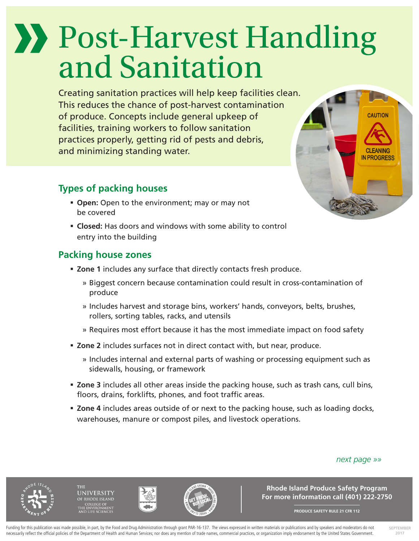# Post-Harvest Handling and Sanitation

Creating sanitation practices will help keep facilities clean. This reduces the chance of post-harvest contamination of produce. Concepts include general upkeep of facilities, training workers to follow sanitation practices properly, getting rid of pests and debris, and minimizing standing water.

## **Types of packing houses**

- **Open:** Open to the environment; may or may not be covered
- **Closed:** Has doors and windows with some ability to control entry into the building

## **Packing house zones**

- **Zone 1** includes any surface that directly contacts fresh produce.
	- » Biggest concern because contamination could result in cross-contamination of produce
	- » Includes harvest and storage bins, workers' hands, conveyors, belts, brushes, rollers, sorting tables, racks, and utensils
	- » Requires most effort because it has the most immediate impact on food safety
- **Zone 2** includes surfaces not in direct contact with, but near, produce.
	- » Includes internal and external parts of washing or processing equipment such as sidewalls, housing, or framework
- **Zone 3** includes all other areas inside the packing house, such as trash cans, cull bins, floors, drains, forklifts, phones, and foot traffic areas.
- **Zone 4** includes areas outside of or next to the packing house, such as loading docks, warehouses, manure or compost piles, and livestock operations.

#### *next page »»*







**Rhode Island Produce Safety Program For more information call (401) 222-2750**

**PRODUCE SAFETY RULE 21 CFR 112**

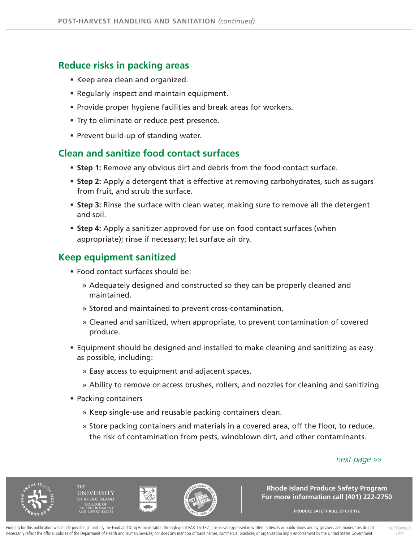#### **Reduce risks in packing areas**

- Keep area clean and organized.
- **Regularly inspect and maintain equipment.**
- **Provide proper hygiene facilities and break areas for workers.**
- **Try to eliminate or reduce pest presence.**
- **Prevent build-up of standing water.**

#### **Clean and sanitize food contact surfaces**

- **Step 1:** Remove any obvious dirt and debris from the food contact surface.
- **Step 2:** Apply a detergent that is effective at removing carbohydrates, such as sugars from fruit, and scrub the surface.
- **Step 3:** Rinse the surface with clean water, making sure to remove all the detergent and soil.
- **Step 4:** Apply a sanitizer approved for use on food contact surfaces (when appropriate); rinse if necessary; let surface air dry.

### **Keep equipment sanitized**

- Food contact surfaces should be:
	- » Adequately designed and constructed so they can be properly cleaned and maintained.
	- » Stored and maintained to prevent cross-contamination.
	- » Cleaned and sanitized, when appropriate, to prevent contamination of covered produce.
- Equipment should be designed and installed to make cleaning and sanitizing as easy as possible, including:
	- » Easy access to equipment and adjacent spaces.
	- » Ability to remove or access brushes, rollers, and nozzles for cleaning and sanitizing.
- Packing containers
	- » Keep single-use and reusable packing containers clean.
	- » Store packing containers and materials in a covered area, off the floor, to reduce. the risk of contamination from pests, windblown dirt, and other contaminants.

#### *next page »»*



**INIVERSITY** 





**Rhode Island Produce Safety Program For more information call (401) 222-2750**

**PRODUCE SAFETY RULE 21 CFR 112**